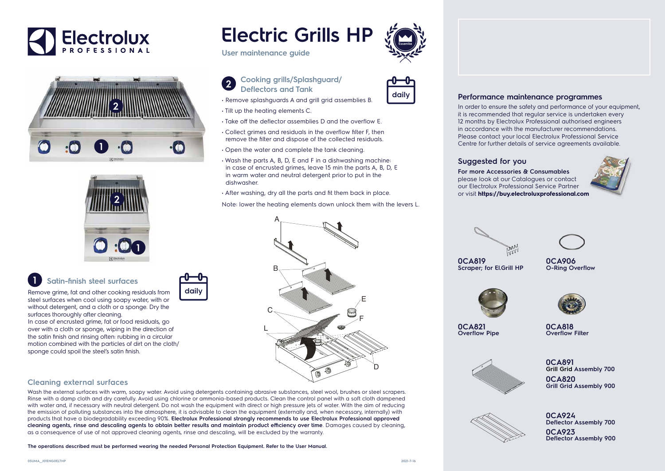**0CA820 Grill Grid Assembly 900 0CA891 Grill Grid Assembly 700**





**0CA818 Overflow Filter**

**0CA821 Overflow Pipe**





**0CA923 Deflector Assembly 900 0CA924 Deflector Assembly 700**



**0CA906 O-Ring Overflow**





**0CA819 Scraper; for El.Grill HP**



#### **05UMA\_\_J01ENG0ELTHP**

## **1 Satin-finish steel surfaces**

Remove grime, fat and other cooking residuals from steel surfaces when cool using soapy water, with or without detergent, and a cloth or a sponge. Dry the surfaces thoroughly after cleaning.



In case of encrusted grime, fat or food residuals, go over with a cloth or sponge, wiping in the direction of the satin finish and rinsing often: rubbing in a circular motion combined with the particles of dirt on the cloth/ sponge could spoil the steel's satin finish.

# **daily**

**User maintenance guide**

• Remove splashguards A and grill grid assemblies B.

• Tilt up the heating elements C.

• Take off the deflector assemblies D and the overflow E. • Collect grimes and residuals in the overflow filter F, then remove the filter and dispose of the collected residuals.

• Open the water and complete the tank cleaning.

• Wash the parts A, B, D, E and F in a dishwashing machine: in case of encrusted grimes, leave 15 min the parts A, B, D, E



#### **Cleaning external surfaces**

Wash the external surfaces with warm, soapy water. Avoid using detergents containing abrasive substances, steel wool, brushes or steel scrapers. Rinse with a damp cloth and dry carefully. Avoid using chlorine or ammonia-based products. Clean the control panel with a soft cloth dampened with water and, if necessary with neutral detergent. Do not wash the equipment with direct or high pressure jets of water. With the aim of reducing the emission of polluting substances into the atmosphere, it is advisable to clean the equipment (externally and, when necessary, internally) with products that have a biodegradability exceeding 90%. **Electrolux Professional strongly recommends to use Electrolux Professional approved cleaning agents, rinse and descaling agents to obtain better results and maintain product efficiency over time**. Damages caused by cleaning, as a consequence of use of not approved cleaning agents, rinse and descaling, will be excluded by the warranty.



**The operations described must be performed wearing the needed Personal Protection Equipment. Refer to the User Manual.**

#### **Suggested for you**

**For more Accessories & Consumables**  please look at our Catalogues or contact our Electrolux Professional Service Partner or visit **https://buy.electroluxprofessional.com**

### **Performance maintenance programmes**

In order to ensure the safety and performance of your equipment, it is recommended that regular service is undertaken every 12 months by Electrolux Professional authorised engineers in accordance with the manufacturer recommendations. Please contact your local Electrolux Professional Service Centre for further details of service agreements available.





D